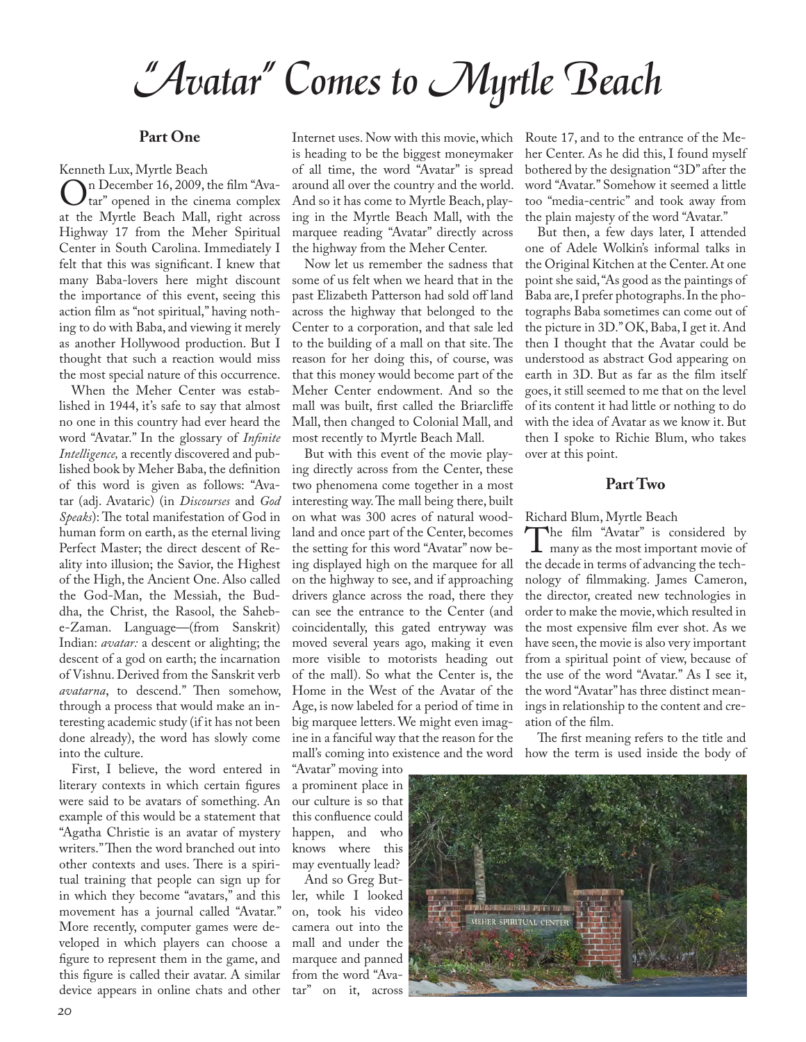# *"Avatar" Comes to Myrtle Beach*

### **Part One**

Kenneth Lux, Myrtle Beach<br>
n December 16, 2009, the film "Ava-On December 16, 2009, the film "Ava-<br>at the Myrtle Beach Mall right across at the Myrtle Beach Mall, right across Highway 17 from the Meher Spiritual Center in South Carolina. Immediately I felt that this was signifcant. I knew that many Baba-lovers here might discount the importance of this event, seeing this action flm as "not spiritual," having nothing to do with Baba, and viewing it merely as another Hollywood production. But I thought that such a reaction would miss the most special nature of this occurrence.

When the Meher Center was established in 1944, it's safe to say that almost no one in this country had ever heard the word "Avatar." In the glossary of *Infnite Intelligence,* a recently discovered and published book by Meher Baba, the defnition of this word is given as follows: "Avatar (adj. Avataric) (in *Discourses* and *God Speaks*): The total manifestation of God in human form on earth, as the eternal living Perfect Master; the direct descent of Reality into illusion; the Savior, the Highest of the High, the Ancient One. Also called the God-Man, the Messiah, the Buddha, the Christ, the Rasool, the Sahebe-Zaman. Language—(from Sanskrit) Indian: *avatar:* a descent or alighting; the descent of a god on earth; the incarnation of Vishnu. Derived from the Sanskrit verb *avatarna*, to descend." Then somehow, through a process that would make an interesting academic study (if it has not been done already), the word has slowly come into the culture.

First, I believe, the word entered in literary contexts in which certain fgures were said to be avatars of something. An example of this would be a statement that "Agatha Christie is an avatar of mystery writers." Then the word branched out into other contexts and uses. There is a spiritual training that people can sign up for in which they become "avatars," and this movement has a journal called "Avatar." More recently, computer games were developed in which players can choose a fgure to represent them in the game, and this fgure is called their avatar. A similar device appears in online chats and other tar" on it, across

Internet uses. Now with this movie, which is heading to be the biggest moneymaker of all time, the word "Avatar" is spread around all over the country and the world. And so it has come to Myrtle Beach, playing in the Myrtle Beach Mall, with the marquee reading "Avatar" directly across the highway from the Meher Center.

Now let us remember the sadness that some of us felt when we heard that in the past Elizabeth Patterson had sold off land across the highway that belonged to the Center to a corporation, and that sale led to the building of a mall on that site. The reason for her doing this, of course, was that this money would become part of the Meher Center endowment. And so the mall was built, frst called the Briarclife Mall, then changed to Colonial Mall, and most recently to Myrtle Beach Mall.

But with this event of the movie playing directly across from the Center, these two phenomena come together in a most interesting way. The mall being there, built on what was 300 acres of natural woodland and once part of the Center, becomes the setting for this word "Avatar" now being displayed high on the marquee for all on the highway to see, and if approaching drivers glance across the road, there they can see the entrance to the Center (and coincidentally, this gated entryway was moved several years ago, making it even more visible to motorists heading out of the mall). So what the Center is, the Home in the West of the Avatar of the Age, is now labeled for a period of time in big marquee letters. We might even imagine in a fanciful way that the reason for the mall's coming into existence and the word how the term is used inside the body of

"Avatar" moving into a prominent place in our culture is so that this confuence could happen, and who knows where this may eventually lead?

And so Greg Butler, while I looked on, took his video camera out into the mall and under the marquee and panned from the word "AvaRoute 17, and to the entrance of the Meher Center. As he did this, I found myself bothered by the designation "3D" after the word "Avatar." Somehow it seemed a little too "media-centric" and took away from the plain majesty of the word "Avatar."

But then, a few days later, I attended one of Adele Wolkin's informal talks in the Original Kitchen at the Center. At one point she said, "As good as the paintings of Baba are, I prefer photographs. In the photographs Baba sometimes can come out of the picture in 3D." OK, Baba, I get it. And then I thought that the Avatar could be understood as abstract God appearing on earth in 3D. But as far as the flm itself goes, it still seemed to me that on the level of its content it had little or nothing to do with the idea of Avatar as we know it. But then I spoke to Richie Blum, who takes over at this point.

# **Part Two**

Richard Blum, Myrtle Beach<br>
The film "Avatar" is considered by The film "Avatar" is considered by<br>many as the most important movie of<br>the decade in terms of advancing the techthe decade in terms of advancing the technology of flmmaking. James Cameron, the director, created new technologies in order to make the movie, which resulted in the most expensive flm ever shot. As we have seen, the movie is also very important from a spiritual point of view, because of the use of the word "Avatar." As I see it, the word "Avatar" has three distinct meanings in relationship to the content and creation of the flm.

The first meaning refers to the title and

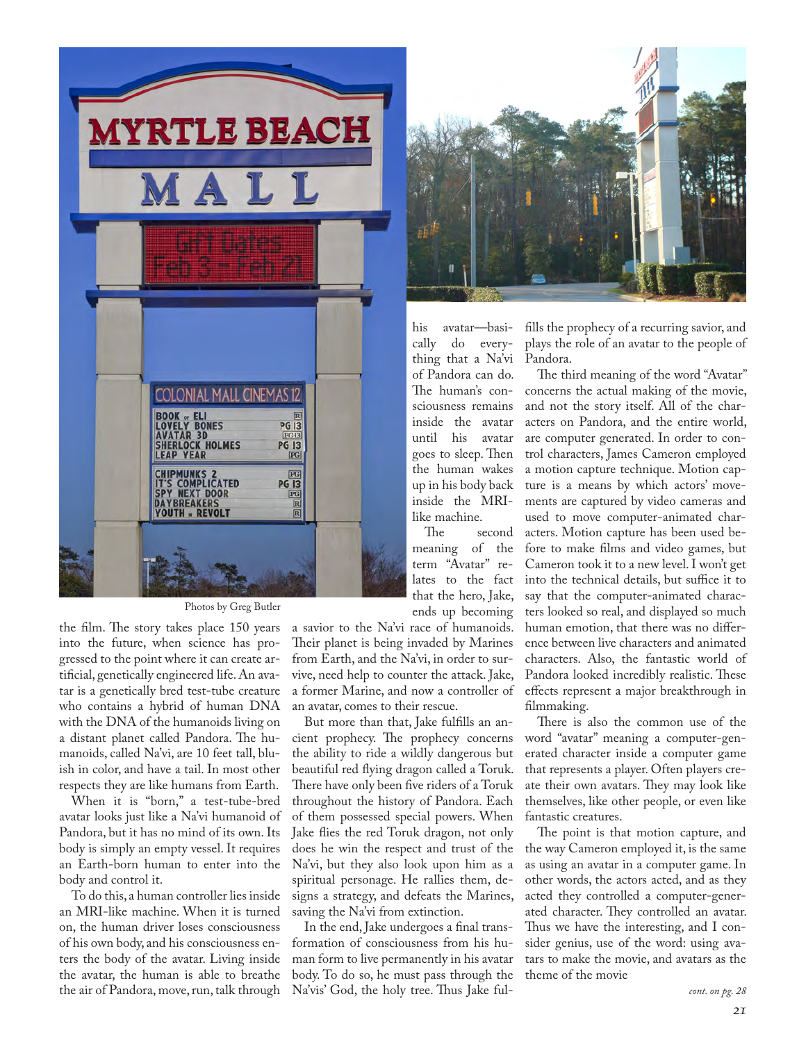

Photos by Greg Butler

the film. The story takes place 150 years into the future, when science has progressed to the point where it can create artifcial, genetically engineered life. An avatar is a genetically bred test-tube creature who contains a hybrid of human DNA with the DNA of the humanoids living on a distant planet called Pandora. The humanoids, called Na'vi, are 10 feet tall, bluish in color, and have a tail. In most other respects they are like humans from Earth.

When it is "born," a test-tube-bred avatar looks just like a Na'vi humanoid of Pandora, but it has no mind of its own. Its body is simply an empty vessel. It requires an Earth-born human to enter into the body and control it.

To do this, a human controller lies inside an MRI-like machine. When it is turned on, the human driver loses consciousness of his own body, and his consciousness enters the body of the avatar. Living inside the avatar, the human is able to breathe the air of Pandora, move, run, talk through

a savior to the Na'vi race of humanoids. Their planet is being invaded by Marines from Earth, and the Na'vi, in order to survive, need help to counter the attack. Jake, a former Marine, and now a controller of an avatar, comes to their rescue.

But more than that, Jake fulflls an ancient prophecy. The prophecy concerns the ability to ride a wildly dangerous but beautiful red fying dragon called a Toruk. There have only been five riders of a Toruk throughout the history of Pandora. Each of them possessed special powers. When Jake fies the red Toruk dragon, not only does he win the respect and trust of the Na'vi, but they also look upon him as a spiritual personage. He rallies them, designs a strategy, and defeats the Marines, saving the Na'vi from extinction.

In the end, Jake undergoes a fnal transformation of consciousness from his human form to live permanently in his avatar body. To do so, he must pass through the Na'vis' God, the holy tree. Thus Jake ful-



his avatar—basido everything that a Na'vi of Pandora can do. The human's consciousness remains inside the avatar until his avatar goes to sleep. Then the human wakes up in his body back inside the MRI-

like machine.<br>The second meaning of the term "Avatar" relates to the fact that the hero, Jake, ends up becoming

flls the prophecy of a recurring savior, and plays the role of an avatar to the people of Pandora.

The third meaning of the word "Avatar" concerns the actual making of the movie, and not the story itself. All of the characters on Pandora, and the entire world, are computer generated. In order to control characters, James Cameron employed a motion capture technique. Motion capture is a means by which actors' movements are captured by video cameras and used to move computer-animated characters. Motion capture has been used before to make flms and video games, but Cameron took it to a new level. I won't get into the technical details, but suffice it to say that the computer-animated characters looked so real, and displayed so much human emotion, that there was no diference between live characters and animated characters. Also, the fantastic world of Pandora looked incredibly realistic. These efects represent a major breakthrough in flmmaking.

There is also the common use of the word "avatar" meaning a computer-generated character inside a computer game that represents a player. Often players create their own avatars. They may look like themselves, like other people, or even like fantastic creatures.

The point is that motion capture, and the way Cameron employed it, is the same as using an avatar in a computer game. In other words, the actors acted, and as they acted they controlled a computer-generated character. They controlled an avatar. Thus we have the interesting, and I consider genius, use of the word: using avatars to make the movie, and avatars as the theme of the movie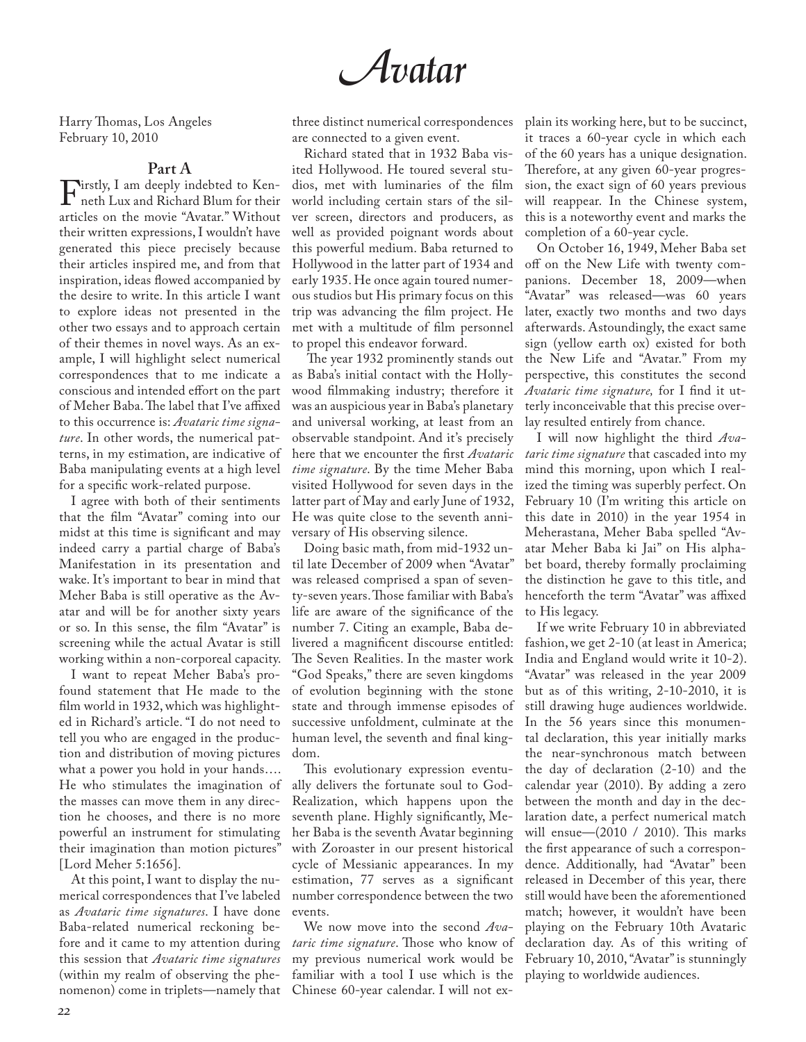*Avatar*

Harry Thomas, Los Angeles February 10, 2010

**Part A**

Firstly, I am deeply indebted to Ken-<br>neth Lux and Richard Blum for their<br>articles on the movie "Avatar" Without articles on the movie "Avatar." Without their written expressions, I wouldn't have generated this piece precisely because their articles inspired me, and from that inspiration, ideas fowed accompanied by the desire to write. In this article I want to explore ideas not presented in the other two essays and to approach certain of their themes in novel ways. As an example, I will highlight select numerical correspondences that to me indicate a conscious and intended effort on the part of Meher Baba. The label that I've affixed to this occurrence is: *Avataric time signature*. In other words, the numerical patterns, in my estimation, are indicative of Baba manipulating events at a high level for a specifc work-related purpose.

I agree with both of their sentiments that the flm "Avatar" coming into our midst at this time is signifcant and may indeed carry a partial charge of Baba's Manifestation in its presentation and wake. It's important to bear in mind that Meher Baba is still operative as the Avatar and will be for another sixty years or so. In this sense, the flm "Avatar" is screening while the actual Avatar is still working within a non-corporeal capacity.

I want to repeat Meher Baba's profound statement that He made to the flm world in 1932, which was highlighted in Richard's article. "I do not need to tell you who are engaged in the production and distribution of moving pictures what a power you hold in your hands…. He who stimulates the imagination of the masses can move them in any direction he chooses, and there is no more powerful an instrument for stimulating their imagination than motion pictures" [Lord Meher 5:1656].

At this point, I want to display the numerical correspondences that I've labeled as *Avataric time signatures*. I have done Baba-related numerical reckoning before and it came to my attention during this session that *Avataric time signatures*  (within my realm of observing the phenomenon) come in triplets—namely that three distinct numerical correspondences are connected to a given event.

Richard stated that in 1932 Baba visited Hollywood. He toured several studios, met with luminaries of the flm world including certain stars of the silver screen, directors and producers, as well as provided poignant words about this powerful medium. Baba returned to Hollywood in the latter part of 1934 and early 1935. He once again toured numerous studios but His primary focus on this trip was advancing the flm project. He met with a multitude of flm personnel to propel this endeavor forward.

The year 1932 prominently stands out as Baba's initial contact with the Hollywood flmmaking industry; therefore it was an auspicious year in Baba's planetary and universal working, at least from an observable standpoint. And it's precisely here that we encounter the frst *Avataric time signature*. By the time Meher Baba visited Hollywood for seven days in the latter part of May and early June of 1932, He was quite close to the seventh anniversary of His observing silence.

Doing basic math, from mid-1932 until late December of 2009 when "Avatar" was released comprised a span of seventy-seven years. Those familiar with Baba's life are aware of the signifcance of the number 7. Citing an example, Baba delivered a magnifcent discourse entitled: The Seven Realities. In the master work "God Speaks," there are seven kingdoms of evolution beginning with the stone state and through immense episodes of successive unfoldment, culminate at the human level, the seventh and final kingdom.

This evolutionary expression eventually delivers the fortunate soul to God-Realization, which happens upon the seventh plane. Highly signifcantly, Meher Baba is the seventh Avatar beginning with Zoroaster in our present historical cycle of Messianic appearances. In my estimation, 77 serves as a signifcant number correspondence between the two events.

We now move into the second *Ava*taric time signature. Those who know of my previous numerical work would be familiar with a tool I use which is the Chinese 60-year calendar. I will not explain its working here, but to be succinct, it traces a 60-year cycle in which each of the 60 years has a unique designation. Therefore, at any given 60-year progression, the exact sign of 60 years previous will reappear. In the Chinese system, this is a noteworthy event and marks the completion of a 60-year cycle.

On October 16, 1949, Meher Baba set off on the New Life with twenty companions. December 18, 2009—when "Avatar" was released—was 60 years later, exactly two months and two days afterwards. Astoundingly, the exact same sign (yellow earth ox) existed for both the New Life and "Avatar." From my perspective, this constitutes the second *Avataric time signature,* for I fnd it utterly inconceivable that this precise overlay resulted entirely from chance.

I will now highlight the third *Avataric time signature* that cascaded into my mind this morning, upon which I realized the timing was superbly perfect. On February 10 (I'm writing this article on this date in 2010) in the year 1954 in Meherastana, Meher Baba spelled "Avatar Meher Baba ki Jai" on His alphabet board, thereby formally proclaiming the distinction he gave to this title, and henceforth the term "Avatar" was affixed to His legacy.

If we write February 10 in abbreviated fashion, we get 2-10 (at least in America; India and England would write it 10-2). "Avatar" was released in the year 2009 but as of this writing, 2-10-2010, it is still drawing huge audiences worldwide. In the 56 years since this monumental declaration, this year initially marks the near-synchronous match between the day of declaration (2-10) and the calendar year (2010). By adding a zero between the month and day in the declaration date, a perfect numerical match will ensue—(2010 / 2010). This marks the frst appearance of such a correspondence. Additionally, had "Avatar" been released in December of this year, there still would have been the aforementioned match; however, it wouldn't have been playing on the February 10th Avataric declaration day. As of this writing of February 10, 2010, "Avatar" is stunningly playing to worldwide audiences.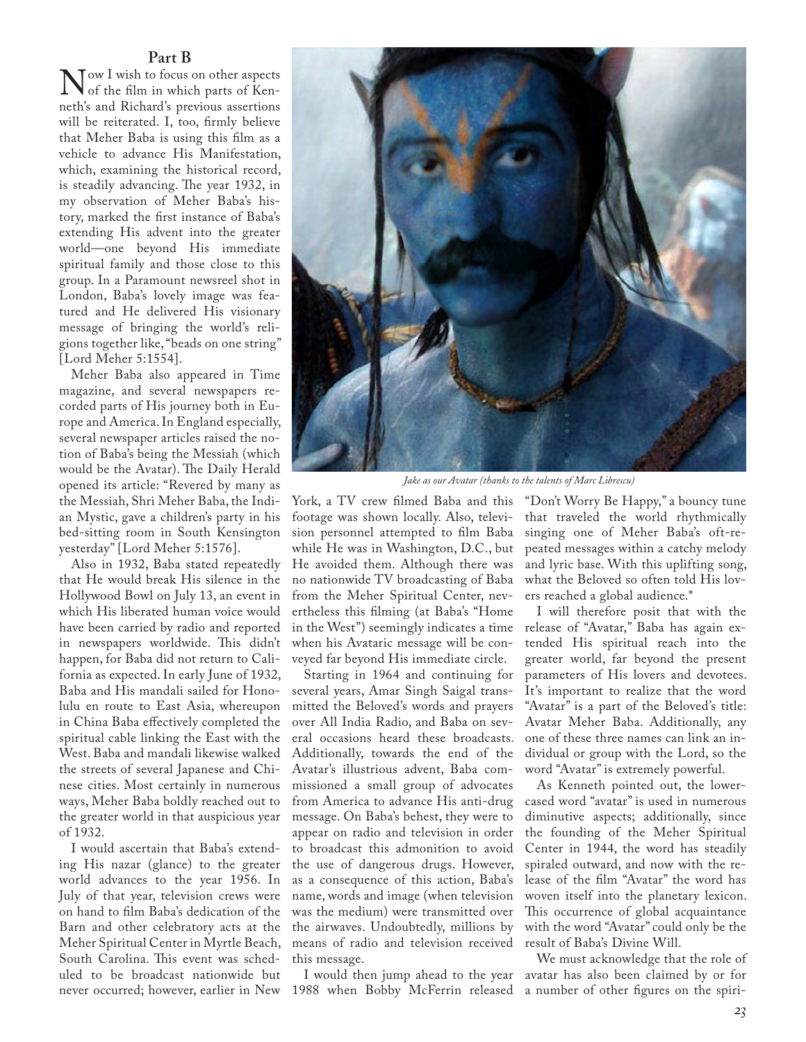**Part B**<br>Tow I wish to focus on other aspects Now I wish to focus on other aspects<br>of the film in which parts of Ken-<br>neth's and Richard's previous assertions neth's and Richard's previous assertions will be reiterated. I, too, frmly believe that Meher Baba is using this flm as a vehicle to advance His Manifestation, which, examining the historical record, is steadily advancing. The year 1932, in my observation of Meher Baba's history, marked the frst instance of Baba's extending His advent into the greater world—one beyond His immediate spiritual family and those close to this group. In a Paramount newsreel shot in London, Baba's lovely image was featured and He delivered His visionary message of bringing the world's religions together like, "beads on one string" [Lord Meher 5:1554].

Meher Baba also appeared in Time magazine, and several newspapers recorded parts of His journey both in Europe and America. In England especially, several newspaper articles raised the notion of Baba's being the Messiah (which would be the Avatar). The Daily Herald opened its article: "Revered by many as the Messiah, Shri Meher Baba, the Indian Mystic, gave a children's party in his bed-sitting room in South Kensington yesterday" [Lord Meher 5:1576].

Also in 1932, Baba stated repeatedly that He would break His silence in the Hollywood Bowl on July 13, an event in which His liberated human voice would have been carried by radio and reported in newspapers worldwide. This didn't happen, for Baba did not return to California as expected. In early June of 1932, Baba and His mandali sailed for Honolulu en route to East Asia, whereupon in China Baba efectively completed the spiritual cable linking the East with the West. Baba and mandali likewise walked the streets of several Japanese and Chinese cities. Most certainly in numerous ways, Meher Baba boldly reached out to the greater world in that auspicious year of 1932.

I would ascertain that Baba's extending His nazar (glance) to the greater world advances to the year 1956. In July of that year, television crews were on hand to flm Baba's dedication of the Barn and other celebratory acts at the Meher Spiritual Center in Myrtle Beach, South Carolina. This event was scheduled to be broadcast nationwide but



*Jake as our Avatar (thanks to the talents of Marc Librescu)*

York, a TV crew flmed Baba and this footage was shown locally. Also, television personnel attempted to flm Baba while He was in Washington, D.C., but He avoided them. Although there was no nationwide TV broadcasting of Baba from the Meher Spiritual Center, nevertheless this flming (at Baba's "Home in the West") seemingly indicates a time when his Avataric message will be conveyed far beyond His immediate circle.

Starting in 1964 and continuing for several years, Amar Singh Saigal transmitted the Beloved's words and prayers over All India Radio, and Baba on several occasions heard these broadcasts. Additionally, towards the end of the Avatar's illustrious advent, Baba commissioned a small group of advocates from America to advance His anti-drug message. On Baba's behest, they were to appear on radio and television in order to broadcast this admonition to avoid the use of dangerous drugs. However, as a consequence of this action, Baba's name, words and image (when television was the medium) were transmitted over the airwaves. Undoubtedly, millions by means of radio and television received this message.

I would then jump ahead to the year

"Don't Worry Be Happy," a bouncy tune that traveled the world rhythmically singing one of Meher Baba's oft-repeated messages within a catchy melody and lyric base. With this uplifting song, what the Beloved so often told His lovers reached a global audience.\*

I will therefore posit that with the release of "Avatar," Baba has again extended His spiritual reach into the greater world, far beyond the present parameters of His lovers and devotees. It's important to realize that the word "Avatar" is a part of the Beloved's title: Avatar Meher Baba. Additionally, any one of these three names can link an individual or group with the Lord, so the word "Avatar" is extremely powerful.

As Kenneth pointed out, the lowercased word "avatar" is used in numerous diminutive aspects; additionally, since the founding of the Meher Spiritual Center in 1944, the word has steadily spiraled outward, and now with the release of the flm "Avatar" the word has woven itself into the planetary lexicon. This occurrence of global acquaintance with the word "Avatar" could only be the result of Baba's Divine Will.

never occurred; however, earlier in New 1988 when Bobby McFerrin released a number of other fgures on the spiri-We must acknowledge that the role of avatar has also been claimed by or for